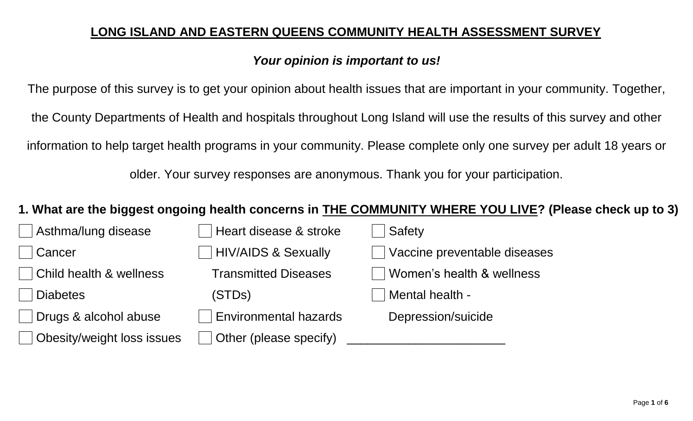## **LONG ISLAND AND EASTERN QUEENS COMMUNITY HEALTH ASSESSMENT SURVEY**

# *Your opinion is important to us!*

The purpose of this survey is to get your opinion about health issues that are important in your community. Together, the County Departments of Health and hospitals throughout Long Island will use the results of this survey and other information to help target health programs in your community. Please complete only one survey per adult 18 years or

older. Your survey responses are anonymous. Thank you for your participation.

# **1. What are the biggest ongoing health concerns in THE COMMUNITY WHERE YOU LIVE? (Please check up to 3)**

| Asthma/lung disease                | Heart disease & stroke         | Safety                       |
|------------------------------------|--------------------------------|------------------------------|
| Cancer                             | <b>HIV/AIDS &amp; Sexually</b> | Vaccine preventable diseases |
| <b>Child health &amp; wellness</b> | <b>Transmitted Diseases</b>    | Women's health & wellness    |
| <b>Diabetes</b>                    | (STDs)                         | Mental health -              |
| Drugs & alcohol abuse              | <b>Environmental hazards</b>   | Depression/suicide           |
| Obesity/weight loss issues         | Other (please specify)         |                              |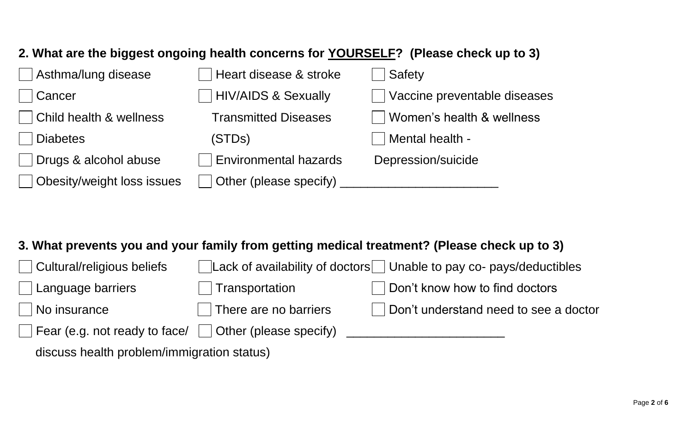# **2. What are the biggest ongoing health concerns for YOURSELF? (Please check up to 3)**

| Asthma/lung disease        | Heart disease & stroke       | Safety                       |
|----------------------------|------------------------------|------------------------------|
| Cancer                     | HIV/AIDS & Sexually          | Vaccine preventable diseases |
| Child health & wellness    | <b>Transmitted Diseases</b>  | Women's health & wellness    |
| <b>Diabetes</b>            | (STDs)                       | Mental health -              |
| Drugs & alcohol abuse      | <b>Environmental hazards</b> | Depression/suicide           |
| Obesity/weight loss issues | Other (please specify)       |                              |

### **3. What prevents you and your family from getting medical treatment? (Please check up to 3)**

| $\Box$ Cultural/religious beliefs                              |                              | $\sqrt{\frac{1}{100}}$ Lack of availability of doctors $\sqrt{\frac{1}{100}}$ Unable to pay co- pays/deductibles |
|----------------------------------------------------------------|------------------------------|------------------------------------------------------------------------------------------------------------------|
| $\Box$ Language barriers                                       | Transportation               | $\Box$ Don't know how to find doctors                                                                            |
| $\Box$ No insurance                                            | $\Box$ There are no barriers | Don't understand need to see a doctor                                                                            |
| Fear (e.g. not ready to face/ $\vert$   Other (please specify) |                              |                                                                                                                  |
|                                                                |                              |                                                                                                                  |

discuss health problem/immigration status)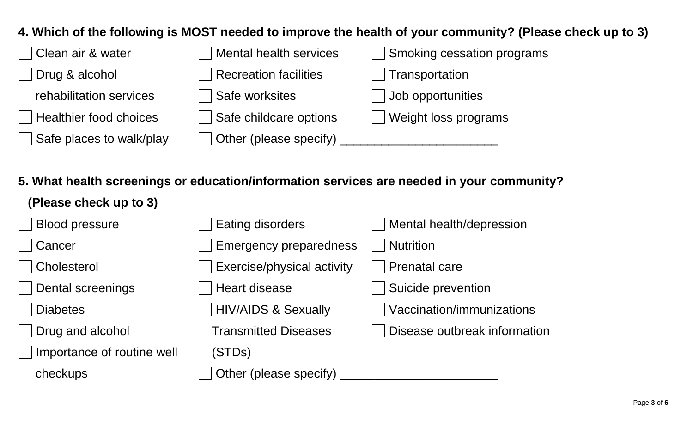#### **4. Which of the following is MOST needed to improve the health of your community? (Please check up to 3)**

| Clean air & water             | Mental health services | Smoking cessation programs |
|-------------------------------|------------------------|----------------------------|
| Drug & alcohol                | Recreation facilities  | Transportation             |
| rehabilitation services       | Safe worksites         | Job opportunities          |
| <b>Healthier food choices</b> | Safe childcare options | Weight loss programs       |
| Safe places to walk/play      | Other (please specify) |                            |

**5. What health screenings or education/information services are needed in your community?** 

| (Please check up to 3)     |                                |                              |
|----------------------------|--------------------------------|------------------------------|
| <b>Blood pressure</b>      | <b>Eating disorders</b>        | Mental health/depression     |
| Cancer                     | <b>Emergency preparedness</b>  | <b>Nutrition</b>             |
| Cholesterol                | Exercise/physical activity     | <b>Prenatal care</b>         |
| Dental screenings          | <b>Heart disease</b>           | Suicide prevention           |
| <b>Diabetes</b>            | <b>HIV/AIDS &amp; Sexually</b> | Vaccination/immunizations    |
| Drug and alcohol           | <b>Transmitted Diseases</b>    | Disease outbreak information |
| Importance of routine well | (STDs)                         |                              |
| checkups                   | Other (please specify)         |                              |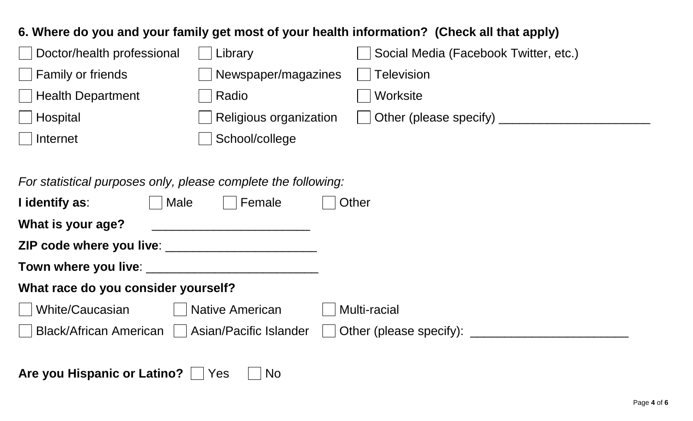#### **6. Where do you and your family get most of your health information? (Check all that apply)**

| Doctor/health professional | Library                       | Social Media (Facebook Twitter, etc.) |
|----------------------------|-------------------------------|---------------------------------------|
| Family or friends          | Newspaper/magazines           | <b>Television</b>                     |
| <b>Health Department</b>   | Radio                         | Worksite                              |
| Hospital                   | <b>Religious organization</b> | Other (please specify)                |
| Internet                   | School/college                |                                       |
|                            |                               |                                       |

*For statistical purposes only, please complete the following:* 

| I identify as:                                    | Male | Female                 | Other                   |
|---------------------------------------------------|------|------------------------|-------------------------|
| What is your age?                                 |      |                        |                         |
|                                                   |      |                        |                         |
|                                                   |      |                        |                         |
| What race do you consider yourself?               |      |                        |                         |
| White/Caucasian                                   |      | <b>Native American</b> | Multi-racial            |
| Black/African American     Asian/Pacific Islander |      |                        | Other (please specify): |

Are you Hispanic or Latino? Ves Mo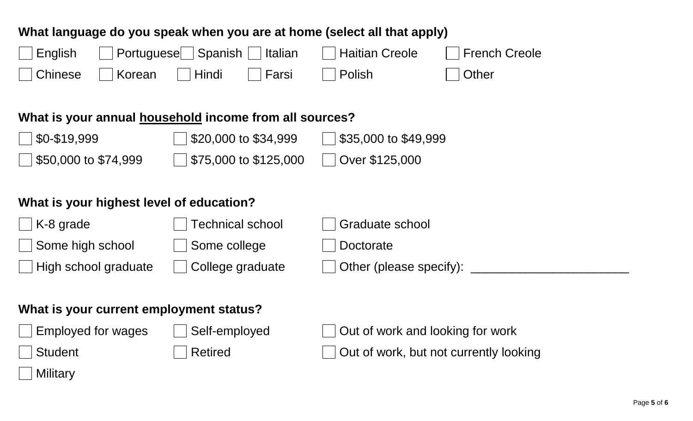#### **What language do you speak when you are at home (select all that apply)**

| $\Box$ English     | $\Box$ Portuguese $\Box$ Spanish $\Box$ Italian |              |       | Haitian Creole  | French Creole   |
|--------------------|-------------------------------------------------|--------------|-------|-----------------|-----------------|
| □ Chinese □ Korean |                                                 | <b>Hindi</b> | Farsi | <b>D</b> Polish | $\vert$   Other |

#### **What is your annual household income from all sources?**

| $\frac{1}{2}$ \$0-\$19,999     | $\vert$   \$20,000 to \$34,999  | $\sqrt{ }$ \$35,000 to \$49,999 |
|--------------------------------|---------------------------------|---------------------------------|
| $\frac{1}{50,000}$ to \$74,999 | $\vert$   \$75,000 to \$125,000 | Over \$125,000                  |

## **What is your highest level of education?**

| K-8 grade            | Technical school | Graduate school                |
|----------------------|------------------|--------------------------------|
| Some high school     | Some college     | Doctorate                      |
| High school graduate | College graduate | $\Box$ Other (please specify): |
|                      |                  |                                |

#### **What is your current employment status?**

| $\Box$ Employed for wa |  |
|------------------------|--|
|------------------------|--|

iges  $\Box$  Self-employed  $\Box$  Out of work and looking for work Student **Retired** Retired **Retired COUL** Out of work, but not currently looking

# **Military**